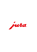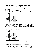#### Dismantling and rinsing the professional fine foam frother<sup>G2</sup>

The professional fine foam frother must be dismantled and rinsed daily if milk has been prepared to make sure it functions perfectly and also in the interests of hygiene.

- $\blacktriangleright$  Remove the professional fine foam frother.
- $\triangleright$  Dismantle the professional fine foam frother into its individual parts.



- $\blacktriangleright$  Rinse all the parts under running water. If there are severely dried-on milk residues, firstly immerse the individual parts in a solution of 250 ml cold water and 1 capful of JURA milk system cleaner. Then rinse the parts thoroughly.
- $\blacktriangleright$  Re-assemble the professional fine foam frother.



- $\mathbf i$  Ensure that all individual parts are correctly and firmly connected to ensure optimum operation of the professional fine foam frother.
- $\blacktriangleright$  Re-fit the professional fine foam frother on the milk system.
	- $\mathbf i$  In the interests of hygiene, we recommend changing the interchangeable milk spout on a regular basis (approx. 2 months). Replacement spouts are available from specialised dealers.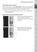ru

cs

pl

no

## Cleaning the fine foam frother<sup>G2</sup>

The fine foam frother must be **cleaned daily** if milk has been prepared to make sure it functions perfectly and also in the interests of hygiene. To do this, proceed as described in your machine's instructions for use.

**i** Only use original JURA milk system cleaner. This is available from specialised dealers.

### Stages of the professional fine foam frother<sup>G2</sup>

Positioned vertically, the professional fine foam frother creates finely textured milk foam with a long-lasting consistency.

When positioned horizontally, the professional fine foam frother heats milk for on-trend specialities.

de



pt